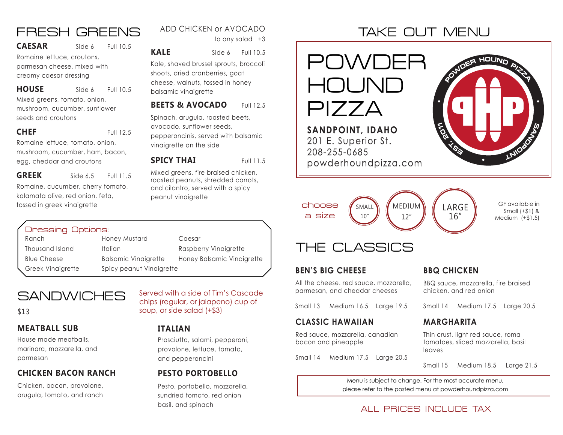## FRESH GREENS

#### **CAESAR** Side 6 Full 10.5

Romaine lettuce, croutons, parmesan cheese, mixed with creamy caesar dressing

Mixed greens, tomato, onion, mushroom, cucumber, sunflower seeds and croutons **HOUSE** Side 6 Full 10.5

#### **CHEF** Full 12.5

Romaine lettuce, tomato, onion, mushroom, cucumber, ham, bacon, egg, cheddar and croutons

Romaine, cucumber, cherry tomato, kalamata olive, red onion, feta, tossed in greek vinaigrette **GREEK** Side 6.5 Full 11.5

### ADD CHICKEN or AVOCADO

to any salad +3

**KALE** Side 6 Full 10.5

Kale, shaved brussel sprouts, broccoli shoots, dried cranberries, goat cheese, walnuts, tossed in honey balsamic vinaigrette

#### **BEETS & AVOCADO** Full 12.5

Spinach, arugula, roasted beets, avocado, sunflower seeds, pepperoncinis, served with balsamic vinaigrette on the side

#### **SPICY THAI** Full 11.5

Mixed greens, fire braised chicken, roasted peanuts, shredded carrots, and cilantro, served with a spicy peanut vinaigrette

### Dressing Options:

Ranch **Honey Mustard** Caesar

Thousand Island Italian Italian Raspberry Vinaigrette Blue Cheese Balsamic Vinaigrette Honey Balsamic Vinaigrette Greek Vinaigrette Spicy peanut Vinaigrette

## **SANDWICHES**

#### **MEATBALL SUB**

House made meatballs, marinara, mozzarella, and parmesan

#### **CHICKEN BACON RANCH PESTO PORTOBELLO**

Chicken, bacon, provolone, arugula, tomato, and ranch

Served with a side of Tim's Cascade chips (regular, or jalapeno) cup of \$13 soup, or side salad (+\$3)

#### **ITALIAN**

Prosciutto, salami, pepperoni, provolone, lettuce, tomato, and pepperoncini

Pesto, portobello, mozzarella, sundried tomato, red onion basil, and spinach

# TAKE OUT MENU



## THE CLASSICS

#### **BEN'S BIG CHEESE**

All the cheese. red sauce, mozzarella, parmesan, and cheddar cheeses

Small 13 Medium 16.5 Large 19.5

#### **CLASSIC HAWAIIAN**

Red sauce, mozzarella, canadian bacon and pineapple

Small 14 Medium 17.5 Large 20.5

#### **BBQ CHICKEN**

BBQ sauce, mozzarella, fire braised chicken, and red onion

Small 14 Medium 17.5 Large 20.5

#### **MARGHARITA**

Thin crust, light red sauce, roma tomatoes, sliced mozzarella, basil leaves

Small 15 Medium 18.5 Large 21.5

Menu is subject to change. For the most accurate menu, please refer to the posted menu at powderhoundpizza.com

## ALL PRICES INCLUDE TAX